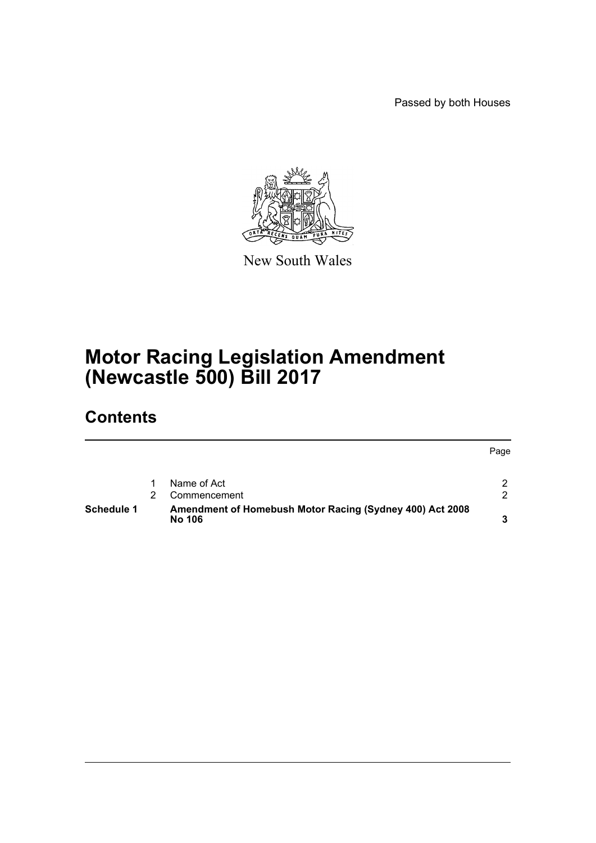Passed by both Houses



New South Wales

# **Motor Racing Legislation Amendment (Newcastle 500) Bill 2017**

## **Contents**

|                   |                                                                           | Page          |
|-------------------|---------------------------------------------------------------------------|---------------|
|                   | Name of Act                                                               | 2             |
|                   | Commencement                                                              | $\mathcal{P}$ |
| <b>Schedule 1</b> | Amendment of Homebush Motor Racing (Sydney 400) Act 2008<br><b>No 106</b> | 3             |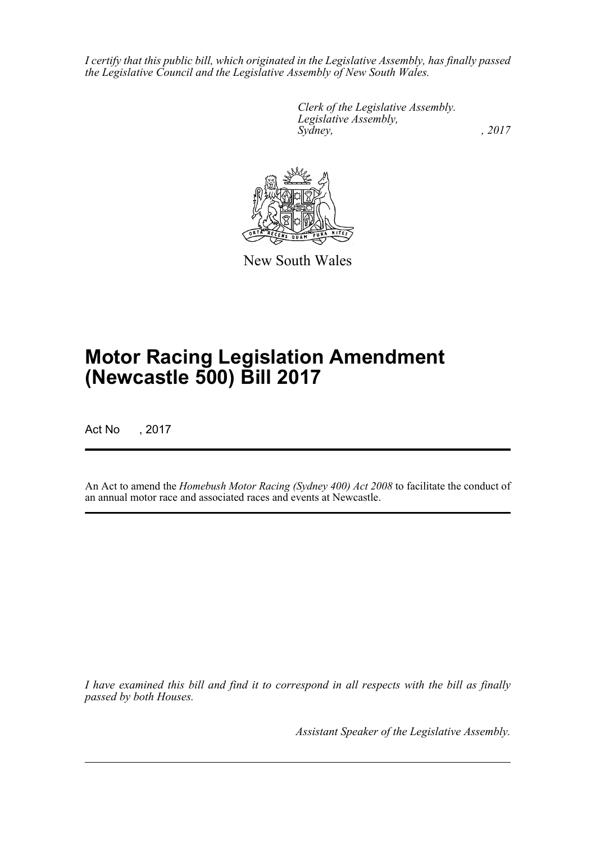*I certify that this public bill, which originated in the Legislative Assembly, has finally passed the Legislative Council and the Legislative Assembly of New South Wales.*

> *Clerk of the Legislative Assembly. Legislative Assembly, Sydney,* , 2017



New South Wales

# **Motor Racing Legislation Amendment (Newcastle 500) Bill 2017**

Act No , 2017

An Act to amend the *Homebush Motor Racing (Sydney 400) Act 2008* to facilitate the conduct of an annual motor race and associated races and events at Newcastle.

*I have examined this bill and find it to correspond in all respects with the bill as finally passed by both Houses.*

*Assistant Speaker of the Legislative Assembly.*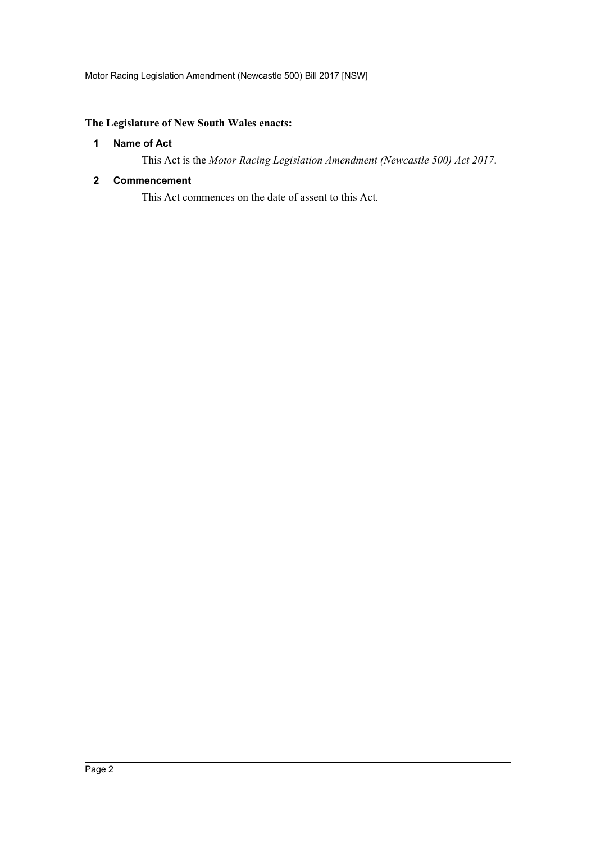### <span id="page-2-0"></span>**The Legislature of New South Wales enacts:**

#### **1 Name of Act**

This Act is the *Motor Racing Legislation Amendment (Newcastle 500) Act 2017*.

#### <span id="page-2-1"></span>**2 Commencement**

This Act commences on the date of assent to this Act.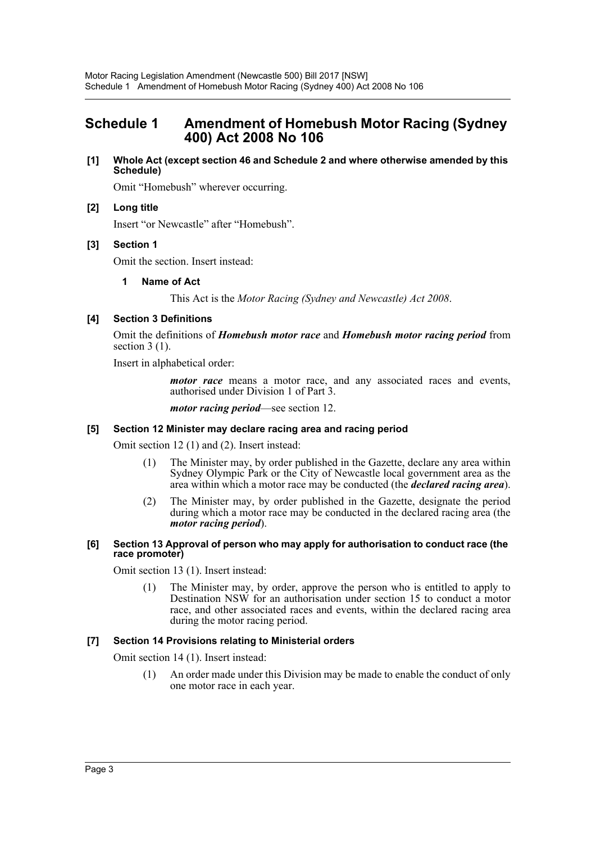### <span id="page-3-0"></span>**Schedule 1 Amendment of Homebush Motor Racing (Sydney 400) Act 2008 No 106**

**[1] Whole Act (except section 46 and Schedule 2 and where otherwise amended by this Schedule)**

Omit "Homebush" wherever occurring.

#### **[2] Long title**

Insert "or Newcastle" after "Homebush".

#### **[3] Section 1**

Omit the section. Insert instead:

#### **1 Name of Act**

This Act is the *Motor Racing (Sydney and Newcastle) Act 2008*.

#### **[4] Section 3 Definitions**

Omit the definitions of *Homebush motor race* and *Homebush motor racing period* from section  $3(1)$ .

Insert in alphabetical order:

*motor race* means a motor race, and any associated races and events, authorised under Division 1 of Part 3.

*motor racing period*—see section 12.

#### **[5] Section 12 Minister may declare racing area and racing period**

Omit section 12 (1) and (2). Insert instead:

- (1) The Minister may, by order published in the Gazette, declare any area within Sydney Olympic Park or the City of Newcastle local government area as the area within which a motor race may be conducted (the *declared racing area*).
- (2) The Minister may, by order published in the Gazette, designate the period during which a motor race may be conducted in the declared racing area (the *motor racing period*).
- **[6] Section 13 Approval of person who may apply for authorisation to conduct race (the race promoter)**

Omit section 13 (1). Insert instead:

(1) The Minister may, by order, approve the person who is entitled to apply to Destination NSW for an authorisation under section 15 to conduct a motor race, and other associated races and events, within the declared racing area during the motor racing period.

#### **[7] Section 14 Provisions relating to Ministerial orders**

Omit section 14 (1). Insert instead:

(1) An order made under this Division may be made to enable the conduct of only one motor race in each year.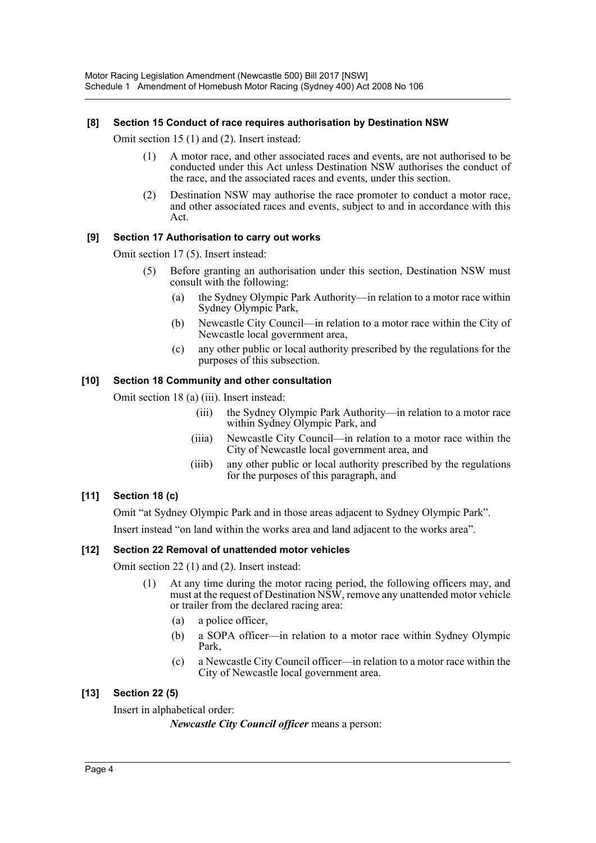#### **[8] Section 15 Conduct of race requires authorisation by Destination NSW**

Omit section 15 (1) and (2). Insert instead:

- (1) A motor race, and other associated races and events, are not authorised to be conducted under this Act unless Destination NSW authorises the conduct of the race, and the associated races and events, under this section.
- (2) Destination NSW may authorise the race promoter to conduct a motor race, and other associated races and events, subject to and in accordance with this Act.

#### **[9] Section 17 Authorisation to carry out works**

Omit section 17 (5). Insert instead:

- (5) Before granting an authorisation under this section, Destination NSW must consult with the following:
	- (a) the Sydney Olympic Park Authority—in relation to a motor race within Sydney Olympic Park,
	- (b) Newcastle City Council—in relation to a motor race within the City of Newcastle local government area,
	- (c) any other public or local authority prescribed by the regulations for the purposes of this subsection.

#### **[10] Section 18 Community and other consultation**

Omit section 18 (a) (iii). Insert instead:

- (iii) the Sydney Olympic Park Authority—in relation to a motor race within Sydney Olympic Park, and
- (iiia) Newcastle City Council—in relation to a motor race within the City of Newcastle local government area, and
- (iiib) any other public or local authority prescribed by the regulations for the purposes of this paragraph, and

#### **[11] Section 18 (c)**

Omit "at Sydney Olympic Park and in those areas adjacent to Sydney Olympic Park".

Insert instead "on land within the works area and land adjacent to the works area".

#### **[12] Section 22 Removal of unattended motor vehicles**

Omit section 22 (1) and (2). Insert instead:

- (1) At any time during the motor racing period, the following officers may, and must at the request of Destination NSW, remove any unattended motor vehicle or trailer from the declared racing area:
	- (a) a police officer,
	- (b) a SOPA officer—in relation to a motor race within Sydney Olympic Park,
	- (c) a Newcastle City Council officer—in relation to a motor race within the City of Newcastle local government area.

#### **[13] Section 22 (5)**

Insert in alphabetical order:

*Newcastle City Council officer* means a person: